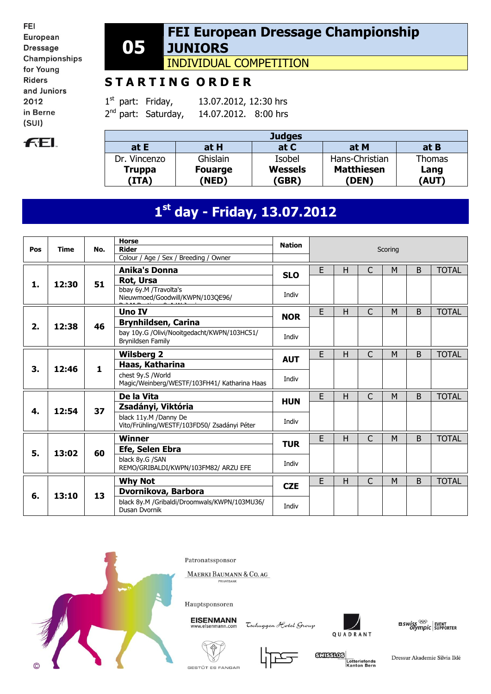FEI European **Dressage** Championships for Young **Riders** and Juniors 2012 in Berne  $(SUI)$ 

# **FEL**

#### **05 FEI European Dressage Championship JUNIORS**

INDIVIDUAL COMPETITION

# **S T A R T I N G O R D E R**

 $1<sup>st</sup>$  part: Friday, 13.07.2012, 12:30 hrs  $2^{nd}$  part: Saturday, 14.07.2012. 8:00 hrs

| <b>Judges</b>          |                         |                         |                            |               |  |  |  |  |  |
|------------------------|-------------------------|-------------------------|----------------------------|---------------|--|--|--|--|--|
| at $E$                 | at H                    | at C                    | at M                       | at B          |  |  |  |  |  |
| Dr. Vincenzo           | Ghislain                | Isobel                  | Hans-Christian             | <b>Thomas</b> |  |  |  |  |  |
| <b>Truppa</b><br>(ITA) | <b>Fouarge</b><br>(NED) | <b>Wessels</b><br>(GBR) | <b>Matthiesen</b><br>(DEN) | Lang<br>(AUT) |  |  |  |  |  |

# **1 st day - Friday, 13.07.2012**

| Pos | <b>Time</b> | No.          | <b>Horse</b><br><b>Rider</b><br>Colour / Age / Sex / Breeding / Owner | <b>Nation</b> |   |   |              | Scoring |   |              |
|-----|-------------|--------------|-----------------------------------------------------------------------|---------------|---|---|--------------|---------|---|--------------|
|     |             |              | <b>Anika's Donna</b><br>Rot, Ursa                                     | <b>SLO</b>    | E | H | $\mathsf{C}$ | M       | B | <b>TOTAL</b> |
| 1.  | 12:30       | 51           | bbay 6y.M /Travolta's<br>Nieuwmoed/Goodwill/KWPN/103QE96/             | Indiv         |   |   |              |         |   |              |
|     |             |              | <b>Uno IV</b>                                                         | <b>NOR</b>    | E | н | $\mathsf{C}$ | M       | B | <b>TOTAL</b> |
| 2.  | 12:38       | 46           | <b>Brynhildsen, Carina</b>                                            |               |   |   |              |         |   |              |
|     |             |              | bay 10y.G /Olivi/Nooitgedacht/KWPN/103HC51/<br>Brynildsen Family      | Indiv         |   |   |              |         |   |              |
|     |             |              | <b>Wilsberg 2</b>                                                     | <b>AUT</b>    | E | H | $\mathsf{C}$ | M       | B | <b>TOTAL</b> |
| 3.  |             | $\mathbf{1}$ | Haas, Katharina                                                       |               |   |   |              |         |   |              |
|     | 12:46       |              | chest 9y.S /World<br>Magic/Weinberg/WESTF/103FH41/ Katharina Haas     | Indiv         |   |   |              |         |   |              |
|     |             |              | De la Vita                                                            | <b>HUN</b>    | E | Н | C            | M       | B | <b>TOTAL</b> |
| 4.  | 12:54       | 37           | Zsadányi, Viktória                                                    |               |   |   |              |         |   |              |
|     |             |              | black 11v.M /Danny De<br>Vito/Frühling/WESTF/103FD50/ Zsadányi Péter  | Indiv         |   |   |              |         |   |              |
|     |             |              | <b>Winner</b>                                                         | <b>TUR</b>    | E | Н | C            | M       | B | <b>TOTAL</b> |
| 5.  | 13:02       | 60           | Efe, Selen Ebra                                                       |               |   |   |              |         |   |              |
|     |             |              | black 8y.G /SAN<br>REMO/GRIBALDI/KWPN/103FM82/ ARZU EFE               | Indiv         |   |   |              |         |   |              |
|     |             |              | <b>Why Not</b>                                                        | <b>CZE</b>    | E | н | $\mathsf{C}$ | M       | B | <b>TOTAL</b> |
| 6.  | 13:10       | 13           | Dvornikova, Barbora                                                   |               |   |   |              |         |   |              |
|     |             |              | black 8y.M /Gribaldi/Droomwals/KWPN/103MU36/<br>Dusan Dvornik         | Indiv         |   |   |              |         |   |              |



Patronatssponsor

MAERKI BAUMANN & CO. AG

Hauptsponsoren

**EISENMANN** 

Tschuggen Hotel Group



 $\begin{array}{l} \text{II} \textit{swiss} \overset{\text{\tiny{QCD}}}{\longrightarrow} \\ \textit{Olympic} \end{array} \begin{array}{l} \textit{Event} \\ \textit{Supporter} \end{array}$ 





**GXISSIOS** Lotteriefonds<br>Kanton Bern

Dressur Akademie Silvia Iklé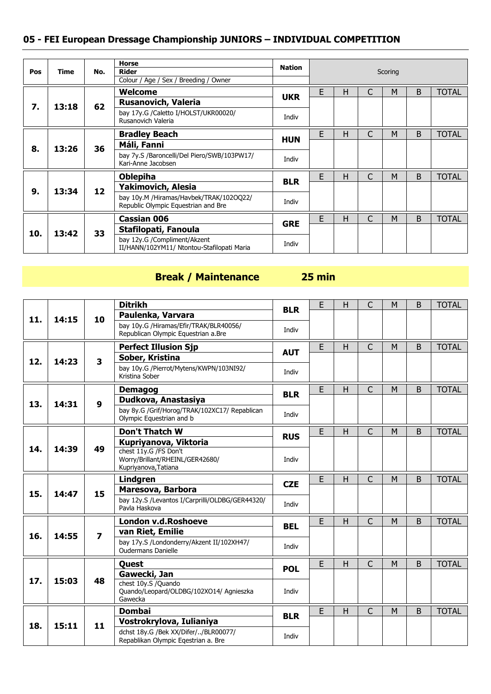|     |       |     | <b>Horse</b>                                                                                                                   |                                                                                                                                                         |   |   |   |   |              |
|-----|-------|-----|--------------------------------------------------------------------------------------------------------------------------------|---------------------------------------------------------------------------------------------------------------------------------------------------------|---|---|---|---|--------------|
| Pos | Time  | No. |                                                                                                                                |                                                                                                                                                         |   |   |   |   |              |
|     |       |     |                                                                                                                                |                                                                                                                                                         |   |   |   |   |              |
|     |       |     | Welcome                                                                                                                        |                                                                                                                                                         | E | н | M | B | <b>TOTAL</b> |
| 7.  | 13:18 | 62  | Rusanovich, Valeria                                                                                                            |                                                                                                                                                         |   |   |   |   |              |
|     |       |     | bay 17y.G /Caletto I/HOLST/UKR00020/<br>Rusanovich Valeria                                                                     | Indiv                                                                                                                                                   |   |   |   |   |              |
|     |       |     | <b>Bradley Beach</b>                                                                                                           |                                                                                                                                                         | E | Н | M | B | <b>TOTAL</b> |
| 8.  | 13:26 | 36  | Máli, Fanni                                                                                                                    |                                                                                                                                                         |   |   |   |   |              |
|     |       |     | bay 7y.S /Baroncelli/Del Piero/SWB/103PW17/<br>Kari-Anne Jacobsen                                                              | Scoring<br><b>UKR</b><br><b>HUN</b><br>Indiv<br>E<br>C<br>B<br>M<br>Н<br><b>BLR</b><br>Indiv<br>E<br>$\mathsf{C}$<br>B<br>н<br>M<br><b>GRE</b><br>Indiv |   |   |   |   |              |
|     |       |     | <b>Oblepiha</b>                                                                                                                |                                                                                                                                                         |   |   |   |   | <b>TOTAL</b> |
| 9.  | 13:34 | 12  | <b>Yakimovich, Alesia</b>                                                                                                      |                                                                                                                                                         |   |   |   |   |              |
|     |       |     | bay 10y.M /Hiramas/Havbek/TRAK/102OQ22/<br>Republic Olympic Equestrian and Bre                                                 |                                                                                                                                                         |   |   |   |   |              |
|     |       |     | <b>Cassian 006</b>                                                                                                             |                                                                                                                                                         |   |   |   |   | <b>TOTAL</b> |
|     | 13:42 | 33  | <b>Nation</b><br><b>Rider</b><br>Colour / Age / Sex / Breeding / Owner<br>Stafilopati, Fanoula<br>bay 12y.G /Compliment/Akzent |                                                                                                                                                         |   |   |   |   |              |
| 10. |       |     | II/HANN/102YM11/ Ntontou-Stafilopati Maria                                                                                     |                                                                                                                                                         |   |   |   |   |              |

## **Break / Maintenance 25 min**

|     |       |                         | <b>Ditrikh</b>                                                                | <b>BLR</b> | E  | H | C              | M | B            | <b>TOTAL</b> |
|-----|-------|-------------------------|-------------------------------------------------------------------------------|------------|----|---|----------------|---|--------------|--------------|
| 11. | 14:15 | 10                      | Paulenka, Varvara                                                             |            |    |   |                |   |              |              |
|     |       |                         | bay 10y.G /Hiramas/Efir/TRAK/BLR40056/<br>Republican Olympic Equestrian a.Bre | Indiv      |    |   |                |   |              |              |
|     |       |                         |                                                                               |            |    |   |                |   |              |              |
|     |       |                         | <b>Perfect Illusion Sjp</b>                                                   | <b>AUT</b> | E  | H | C              | M | B            | <b>TOTAL</b> |
| 12. | 14:23 | $\overline{\mathbf{3}}$ | Sober, Kristina                                                               |            |    |   |                |   |              |              |
|     |       |                         | bay 10y.G /Pierrot/Mytens/KWPN/103NI92/<br>Kristina Sober                     | Indiv      |    |   |                |   |              |              |
|     |       |                         | <b>Demagog</b>                                                                | <b>BLR</b> | E  | H | $\mathsf{C}$   | M | B            | <b>TOTAL</b> |
| 13. | 14:31 | $\boldsymbol{9}$        | Dudkova, Anastasiya                                                           |            |    |   |                |   |              |              |
|     |       |                         | bay 8y.G /Grif/Horog/TRAK/102XC17/ Repablican<br>Olympic Equestrian and b     | Indiv      |    |   |                |   |              |              |
|     |       |                         | <b>Don't Thatch W</b>                                                         | <b>RUS</b> | E  | H | $\mathsf{C}$   | M | B            | <b>TOTAL</b> |
|     |       |                         | Kupriyanova, Viktoria                                                         |            |    |   |                |   |              |              |
| 14. | 14:39 | 49                      | chest 11y.G /FS Don't                                                         |            |    |   |                |   |              |              |
|     |       |                         | Worry/Brillant/RHEINL/GER42680/<br>Kupriyanova, Tatiana                       | Indiv      |    |   |                |   |              |              |
|     |       |                         |                                                                               |            |    |   |                |   |              |              |
|     |       |                         | Lindgren                                                                      |            | E. | H | $\mathsf{C}$   | M | B            | <b>TOTAL</b> |
|     |       |                         | Maresova, Barbora                                                             | <b>CZE</b> |    |   |                |   |              |              |
| 15. | 14:47 | 15                      | bay 12y.S /Levantos I/Carprilli/OLDBG/GER44320/<br>Pavla Haskova              | Indiv      |    |   |                |   |              |              |
|     |       |                         | London v.d.Roshoeve                                                           |            | E  | H | $\mathsf{C}$   | M | B            | <b>TOTAL</b> |
|     |       |                         | van Riet, Emilie                                                              | <b>BEL</b> |    |   |                |   |              |              |
| 16. | 14:55 | $\overline{z}$          | bay 17y.S /Londonderry/Akzent II/102XH47/<br><b>Oudermans Danielle</b>        | Indiv      |    |   |                |   |              |              |
|     |       |                         | Quest                                                                         |            | E  | H | $\overline{C}$ | M | <sub>B</sub> | <b>TOTAL</b> |
|     |       |                         | Gawecki, Jan                                                                  | <b>POL</b> |    |   |                |   |              |              |
| 17. | 15:03 | 48                      | chest 10y.S /Quando<br>Quando/Leopard/OLDBG/102XO14/ Agnieszka                | Indiv      |    |   |                |   |              |              |
|     |       |                         | Gawecka                                                                       |            |    |   |                |   |              |              |
|     |       |                         | <b>Dombai</b>                                                                 | <b>BLR</b> | E  | H | $\overline{C}$ | M | B            | <b>TOTAL</b> |
| 18. | 15:11 | 11                      | Vostrokrylova, Iulianiya                                                      |            |    |   |                |   |              |              |
|     |       |                         | dchst 18y.G /Bek XX/Difer//BLR00077/<br>Repablikan Olympic Egestrian a. Bre   | Indiv      |    |   |                |   |              |              |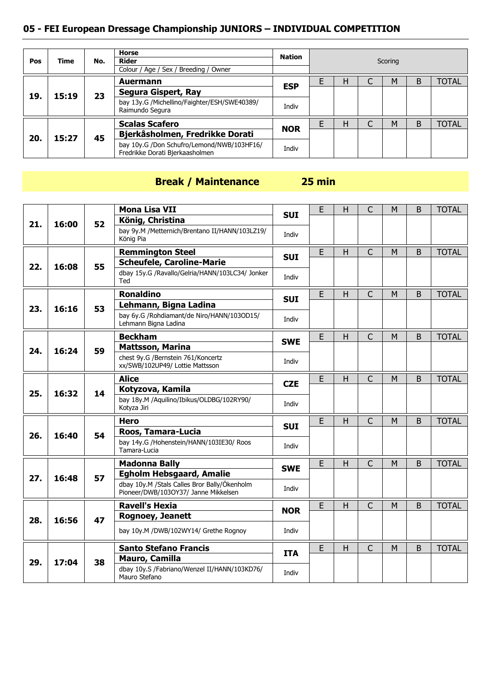| Pos | <b>Time</b>  | No. | <b>Horse</b><br>Rider<br>Colour / Age / Sex / Breeding / Owner                | Nation     | Scoring |  |   |   |              |  |
|-----|--------------|-----|-------------------------------------------------------------------------------|------------|---------|--|---|---|--------------|--|
|     |              |     | <b>Auermann</b>                                                               |            | н       |  | M | B | <b>TOTAL</b> |  |
|     | 19.<br>15:19 | 23  | Segura Gispert, Ray                                                           | <b>ESP</b> |         |  |   |   |              |  |
|     |              |     | bay 13y.G /Michellino/Faighter/ESH/SWE40389/<br>Raimundo Segura               | Indiv      |         |  |   |   |              |  |
|     |              |     | <b>Scalas Scafero</b>                                                         |            | н       |  | M | B | <b>TOTAL</b> |  |
| 20. | 15:27        | 45  | Bjerkåsholmen, Fredrikke Dorati                                               | <b>NOR</b> |         |  |   |   |              |  |
|     |              |     | bay 10y.G /Don Schufro/Lemond/NWB/103HF16/<br>Fredrikke Dorati Bjerkaasholmen | Indiv      |         |  |   |   |              |  |

#### **Break / Maintenance 25 min**

#### **21. 16:00 52 Mona Lisa VII SUI E** H C M B TOTAL **König, Christina** bay 9y.M /Metternich/Brentano II/HANN/103LZ19/ Indiv<br>König Pia **22. 16:08 55 Remmington Steel SUI** B H C M B TOTAL **Scheufele, Caroline-Marie** dbay 15y.G /Ravallo/Gelria/HANN/103LC34/ Jonker Ted Indiv **23. 16:16 53 Ronaldino SUI** <sup>E</sup> <sup>H</sup> <sup>C</sup> <sup>M</sup> <sup>B</sup> TOTAL **Lehmann, Bigna Ladina** bay 6y.G /Rohdiamant/de Niro/HANN/103OD15/ bay by.G /Rondiamant/de Niro/HANN/1030D15/<br>Lehmann Bigna Ladina **24. 16:24 59 Beckham SWE** <sup>E</sup> <sup>H</sup> <sup>C</sup> <sup>M</sup> <sup>B</sup> TOTAL **Mattsson, Marina** chest 9y.G /Bernstein 761/Koncertz xx/SWB/102UP49/ Lottie Mattsson Indiv **25. 16:32 14 Alice CZE** <sup>E</sup> <sup>H</sup> <sup>C</sup> <sup>M</sup> <sup>B</sup> TOTAL **Kotyzova, Kamila** bay 18y.M /Aquilino/Ibikus/OLDBG/102RY90/ Kotyza Jiri Indiv **26. 16:40 54 Hero SUI** <sup>E</sup> <sup>H</sup> <sup>C</sup> <sup>M</sup> <sup>B</sup> TOTAL **Roos, Tamara-Lucia** bay 14y.G /Hohenstein/HANN/103IE30/ Roos Tamara-Lucia Indiv **27. 16:48 57 Madonna Bally SWE** E H C M B TOTAL **Egholm Hebsgaard, Amalie** dbay 10y.M /Stals Calles Bror Bally/Ökenholm abay Iuy.M /Stals Calles Bror Bally/Okenholm<br>Pioneer/DWB/103OY37/ Janne Mikkelsen Indiv **28. 16:56 47 Ravell's Hexia NOR** <sup>E</sup> <sup>H</sup> <sup>C</sup> <sup>M</sup> <sup>B</sup> TOTAL **Rognoey, Jeanett** bay 10y.M /DWB/102WY14/ Grethe Rognoy Indiv **29. 17:04 38 Santo Stefano Francis ITA E** H C M B TOTAL **Mauro, Camilla** dbay 10y.S /Fabriano/Wenzel II/HANN/103KD76/ Indiv<br>Mauro Stefano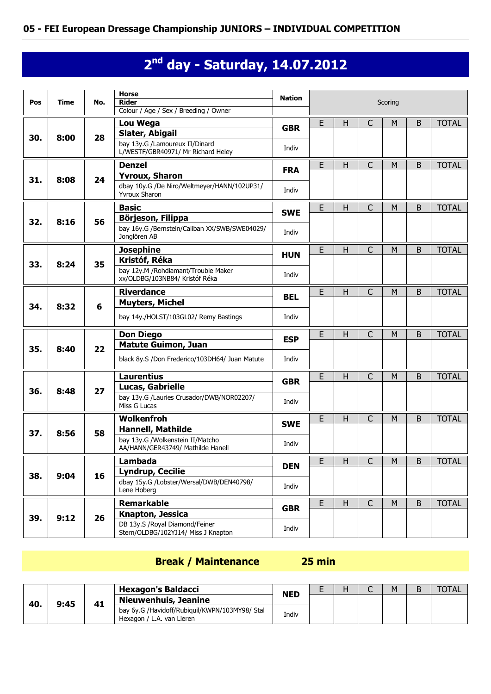# **2 nd day - Saturday, 14.07.2012**

| Pos | <b>Time</b> | No. | <b>Horse</b><br><b>Rider</b>                                          | <b>Nation</b>                                                                                                                                                                                                                                                               |   |   |              | Scoring |         |              |
|-----|-------------|-----|-----------------------------------------------------------------------|-----------------------------------------------------------------------------------------------------------------------------------------------------------------------------------------------------------------------------------------------------------------------------|---|---|--------------|---------|---------|--------------|
|     |             |     | Colour / Age / Sex / Breeding / Owner                                 |                                                                                                                                                                                                                                                                             |   |   |              |         |         |              |
|     |             |     | Lou Wega                                                              |                                                                                                                                                                                                                                                                             |   |   |              |         | B       | <b>TOTAL</b> |
| 30. | 8:00        | 28  | Slater, Abigail                                                       |                                                                                                                                                                                                                                                                             |   |   |              |         |         |              |
|     |             |     | bay 13y.G /Lamoureux II/Dinard<br>L/WESTF/GBR40971/ Mr Richard Heley  | Indiv                                                                                                                                                                                                                                                                       |   |   |              |         |         |              |
|     |             |     | <b>Denzel</b>                                                         |                                                                                                                                                                                                                                                                             | E | H | C            | M       | B       | <b>TOTAL</b> |
| 31. | 8:08        | 24  | <b>Yvroux, Sharon</b>                                                 |                                                                                                                                                                                                                                                                             |   |   |              |         |         |              |
|     |             |     | dbay 10y.G /De Niro/Weltmeyer/HANN/102UP31/<br><b>Yvroux Sharon</b>   | Indiv                                                                                                                                                                                                                                                                       |   |   |              |         |         |              |
|     |             |     | <b>Basic</b>                                                          |                                                                                                                                                                                                                                                                             | E | H | $\mathsf{C}$ | M       | B       | <b>TOTAL</b> |
| 32. | 8:16        | 56  | Börjeson, Filippa                                                     |                                                                                                                                                                                                                                                                             |   |   |              |         |         |              |
|     |             |     | bay 16y.G /Bernstein/Caliban XX/SWB/SWE04029/<br>Jonglören AB         | Indiv                                                                                                                                                                                                                                                                       |   |   |              |         |         |              |
|     |             |     | <b>Josephine</b>                                                      |                                                                                                                                                                                                                                                                             | E | Н | C            | M       | B       | <b>TOTAL</b> |
| 33. | 8:24        | 35  | Kristóf, Réka                                                         |                                                                                                                                                                                                                                                                             |   |   |              |         |         |              |
|     |             |     | bay 12y.M /Rohdiamant/Trouble Maker<br>xx/OLDBG/103NB84/ Kristóf Réka | Indiv                                                                                                                                                                                                                                                                       |   |   |              |         |         |              |
|     |             |     | <b>Riverdance</b>                                                     |                                                                                                                                                                                                                                                                             | E | H | $\mathsf{C}$ | M       | B       | <b>TOTAL</b> |
| 34. | 8:32        | 6   | <b>Muyters, Michel</b>                                                |                                                                                                                                                                                                                                                                             |   |   |              |         |         |              |
|     |             |     | bay 14y./HOLST/103GL02/ Remy Bastings                                 | <b>HUN</b><br><b>BEL</b><br>Indiv<br>E<br>$\mathsf{C}$<br>$\sf B$<br>H<br>M<br><b>ESP</b><br>Indiv<br>E<br>$\mathsf{H}$<br>$\mathsf{C}$<br>M<br>B<br><b>GBR</b>                                                                                                             |   |   |              |         |         |              |
|     |             |     | <b>Don Diego</b>                                                      |                                                                                                                                                                                                                                                                             |   |   |              |         |         | <b>TOTAL</b> |
| 35. | 8:40        | 22  | Matute Guimon, Juan                                                   |                                                                                                                                                                                                                                                                             |   |   |              |         |         |              |
|     |             |     | black 8y.S /Don Frederico/103DH64/ Juan Matute                        |                                                                                                                                                                                                                                                                             |   |   |              |         |         |              |
|     |             |     | <b>Laurentius</b>                                                     |                                                                                                                                                                                                                                                                             |   |   |              |         |         | <b>TOTAL</b> |
| 36. | 8:48        | 27  | Lucas, Gabrielle                                                      |                                                                                                                                                                                                                                                                             |   |   |              |         |         |              |
|     |             |     | bay 13y.G /Lauries Crusador/DWB/NOR02207/<br>Miss G Lucas             | E<br>$\mathsf{C}$<br>$\mathsf{H}$<br>M<br><b>GBR</b><br><b>FRA</b><br><b>SWE</b><br>Indiv<br>E<br>$\mathsf{C}$<br>H<br>M<br><b>SWE</b><br>Indiv<br>E<br>$\overline{C}$<br>$\overline{M}$<br>H.<br><b>DEN</b><br>Indiv<br>E<br>$\mathsf{C}$<br>H<br>M<br><b>GBR</b><br>Indiv |   |   |              |         |         |              |
|     |             |     | Wolkenfroh                                                            |                                                                                                                                                                                                                                                                             |   |   |              |         | B       | <b>TOTAL</b> |
|     |             |     | <b>Hannell, Mathilde</b>                                              |                                                                                                                                                                                                                                                                             |   |   |              |         |         |              |
| 37. | 8:56        | 58  | bay 13y.G /Wolkenstein II/Matcho<br>AA/HANN/GER43749/ Mathilde Hanell |                                                                                                                                                                                                                                                                             |   |   |              |         |         |              |
|     |             |     |                                                                       |                                                                                                                                                                                                                                                                             |   |   |              |         | $\sf B$ | <b>TOTAL</b> |
|     |             |     | Lambada<br><b>Lyndrup, Cecilie</b>                                    |                                                                                                                                                                                                                                                                             |   |   |              |         |         |              |
| 38. | 9:04        | 16  | dbay 15y.G /Lobster/Wersal/DWB/DEN40798/                              |                                                                                                                                                                                                                                                                             |   |   |              |         |         |              |
|     |             |     | Lene Hoberg                                                           |                                                                                                                                                                                                                                                                             |   |   |              |         |         |              |
|     |             |     | <b>Remarkable</b>                                                     |                                                                                                                                                                                                                                                                             |   |   |              |         | B       | <b>TOTAL</b> |
| 39. | 9:12        | 26  | Knapton, Jessica                                                      |                                                                                                                                                                                                                                                                             |   |   |              |         |         |              |
|     |             |     | DB 13y.S /Royal Diamond/Feiner<br>Stern/OLDBG/102YJ14/ Miss J Knapton |                                                                                                                                                                                                                                                                             |   |   |              |         |         |              |

## **Break / Maintenance 25 min**

| 40. |      |    | <b>Hexagon's Baldacci</b>                                                   | <b>NED</b> | ட | - | M | TOTAL |
|-----|------|----|-----------------------------------------------------------------------------|------------|---|---|---|-------|
|     | 9:45 | 41 | <b>Nieuwenhuis, Jeanine</b>                                                 |            |   |   |   |       |
|     |      |    | bay 6y.G /Havidoff/Rubiquil/KWPN/103MY98/ Stal<br>Hexagon / L.A. van Lieren | Indiv      |   |   |   |       |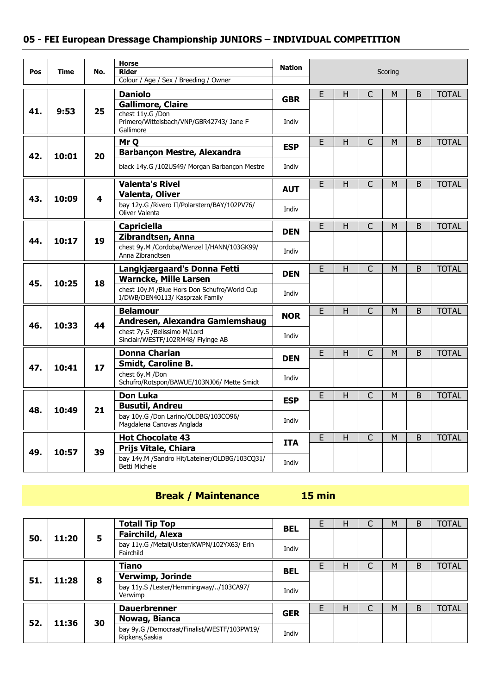|     |       |                         | <b>Horse</b>                                                       | <b>Nation</b>                                                                                                                                                                                                     |   |   | Scoring<br>$\mathsf{C}$<br>M<br>B<br><b>TOTAL</b> |   |             |              |
|-----|-------|-------------------------|--------------------------------------------------------------------|-------------------------------------------------------------------------------------------------------------------------------------------------------------------------------------------------------------------|---|---|---------------------------------------------------|---|-------------|--------------|
| Pos | Time  | No.                     | <b>Rider</b>                                                       |                                                                                                                                                                                                                   |   |   |                                                   |   |             |              |
|     |       |                         | Colour / Age / Sex / Breeding / Owner                              |                                                                                                                                                                                                                   |   |   |                                                   |   |             |              |
|     |       |                         | <b>Daniolo</b>                                                     |                                                                                                                                                                                                                   | E | H |                                                   |   |             |              |
|     |       |                         | <b>Gallimore, Claire</b>                                           | <b>GBR</b><br>Indiv<br>E<br>H<br><b>ESP</b><br>Indiv<br>E<br>H<br><b>AUT</b><br>Indiv<br>E<br>H<br><b>DEN</b><br>Indiv<br>E<br>H<br><b>DEN</b><br>Indiv<br>E<br>H.<br><b>NOR</b><br>Indiv<br>E<br>H<br><b>DEN</b> |   |   |                                                   |   |             |              |
| 41. | 9:53  | 25                      | chest 11y.G /Don<br>Primero/Wittelsbach/VNP/GBR42743/ Jane F       |                                                                                                                                                                                                                   |   |   |                                                   |   |             |              |
|     |       |                         | Gallimore                                                          |                                                                                                                                                                                                                   |   |   |                                                   |   |             |              |
|     |       |                         | Mr <sub>O</sub>                                                    |                                                                                                                                                                                                                   |   |   | $\mathsf{C}$                                      | M | B           | <b>TOTAL</b> |
| 42. | 10:01 | 20                      | Barbançon Mestre, Alexandra                                        |                                                                                                                                                                                                                   |   |   |                                                   |   |             |              |
|     |       |                         | black 14y.G /102US49/ Morgan Barbançon Mestre                      |                                                                                                                                                                                                                   |   |   |                                                   |   |             |              |
|     |       |                         | <b>Valenta's Rivel</b>                                             |                                                                                                                                                                                                                   |   |   | $\overline{\mathsf{C}}$                           | M | B           | <b>TOTAL</b> |
| 43. | 10:09 | $\overline{\mathbf{4}}$ | Valenta, Oliver                                                    |                                                                                                                                                                                                                   |   |   |                                                   |   |             |              |
|     |       |                         | bay 12y.G /Rivero II/Polarstern/BAY/102PV76/<br>Oliver Valenta     |                                                                                                                                                                                                                   |   |   |                                                   |   |             |              |
|     |       |                         | <b>Capriciella</b>                                                 |                                                                                                                                                                                                                   |   |   | $\mathsf{C}$                                      | M | $\mathsf B$ | <b>TOTAL</b> |
|     | 10:17 |                         | Zibrandtsen, Anna                                                  |                                                                                                                                                                                                                   |   |   |                                                   |   |             |              |
| 44. |       | 19                      | chest 9y.M /Cordoba/Wenzel I/HANN/103GK99/<br>Anna Zibrandtsen     |                                                                                                                                                                                                                   |   |   |                                                   |   |             |              |
|     |       |                         | Langkjærgaard's Donna Fetti                                        |                                                                                                                                                                                                                   |   |   | $\overline{C}$                                    | M | B           | <b>TOTAL</b> |
|     |       |                         | <b>Warncke, Mille Larsen</b>                                       |                                                                                                                                                                                                                   |   |   |                                                   |   |             |              |
| 45. | 10:25 | 18                      | chest 10y.M /Blue Hors Don Schufro/World Cup                       |                                                                                                                                                                                                                   |   |   |                                                   |   |             |              |
|     |       |                         | I/DWB/DEN40113/ Kasprzak Family                                    |                                                                                                                                                                                                                   |   |   |                                                   |   |             |              |
|     |       |                         | <b>Belamour</b>                                                    |                                                                                                                                                                                                                   |   |   | $\mathsf{C}$                                      | м | B           | <b>TOTAL</b> |
| 46. |       | 44                      | Andresen, Alexandra Gamlemshaug                                    |                                                                                                                                                                                                                   |   |   |                                                   |   |             |              |
|     | 10:33 |                         | chest 7y.S /Belissimo M/Lord<br>Sinclair/WESTF/102RM48/ Flyinge AB |                                                                                                                                                                                                                   |   |   |                                                   |   |             |              |
|     |       |                         | <b>Donna Charian</b>                                               |                                                                                                                                                                                                                   |   |   | $\mathsf{C}$                                      | M | B           | <b>TOTAL</b> |
| 47. | 10:41 | 17                      | <b>Smidt, Caroline B.</b>                                          |                                                                                                                                                                                                                   |   |   |                                                   |   |             |              |
|     |       |                         | chest 6y.M /Don<br>Schufro/Rotspon/BAWUE/103NJ06/ Mette Smidt      | Indiv                                                                                                                                                                                                             |   |   |                                                   |   |             |              |
|     |       |                         | <b>Don Luka</b>                                                    |                                                                                                                                                                                                                   | E | H | $\overline{C}$                                    | M | B           | <b>TOTAL</b> |
|     |       |                         | <b>Busutil, Andreu</b>                                             | <b>ESP</b>                                                                                                                                                                                                        |   |   |                                                   |   |             |              |
| 48. | 10:49 | 21                      | bay 10y.G /Don Larino/OLDBG/103CO96/<br>Magdalena Canovas Anglada  | Indiv                                                                                                                                                                                                             |   |   |                                                   |   |             |              |
|     |       |                         | <b>Hot Chocolate 43</b>                                            |                                                                                                                                                                                                                   | E | H | $\mathsf{C}$                                      | M | B           | <b>TOTAL</b> |
|     |       |                         | Prijs Vitale, Chiara                                               | <b>ITA</b>                                                                                                                                                                                                        |   |   |                                                   |   |             |              |
| 49. | 10:57 | 39                      | bay 14y.M /Sandro Hit/Lateiner/OLDBG/103CQ31/<br>Betti Michele     | Indiv                                                                                                                                                                                                             |   |   |                                                   |   |             |              |

# **Break / Maintenance 15 min**

|     |       |    | <b>Totall Tip Top</b>                                          | <b>BEL</b> | E | н |  | M | B | <b>TOTAL</b> |
|-----|-------|----|----------------------------------------------------------------|------------|---|---|--|---|---|--------------|
| 50. | 11:20 | 5  | Fairchild, Alexa                                               |            |   |   |  |   |   |              |
|     |       |    | bay 11y.G /Metall/Ulster/KWPN/102YX63/ Erin<br>Fairchild       | Indiv      |   |   |  |   |   |              |
|     |       |    | <b>Tiano</b>                                                   |            | F | н |  | М | B | <b>TOTAL</b> |
| 51. |       | 8  | Verwimp, Jorinde                                               | <b>BEL</b> |   |   |  |   |   |              |
|     | 11:28 |    | bay 11y.S /Lester/Hemmingway//103CA97/<br>Verwimp              | Indiv      |   |   |  |   |   |              |
|     |       |    | <b>Dauerbrenner</b>                                            |            | F | н |  | M | B | <b>TOTAL</b> |
| 52. | 11:36 | 30 | Nowag, Bianca                                                  | <b>GER</b> |   |   |  |   |   |              |
|     |       |    | bay 9y.G /Democraat/Finalist/WESTF/103PW19/<br>Ripkens, Saskia | Indiv      |   |   |  |   |   |              |